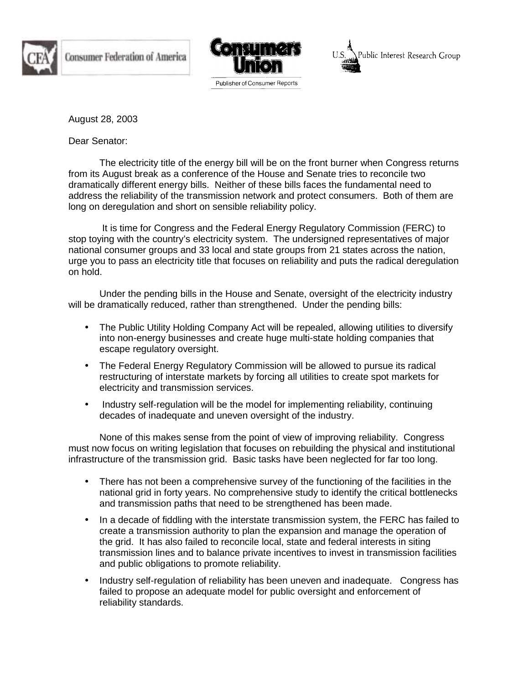

**Consumer Federation of America** 





August 28, 2003

Dear Senator:

The electricity title of the energy bill will be on the front burner when Congress returns from its August break as a conference of the House and Senate tries to reconcile two dramatically different energy bills. Neither of these bills faces the fundamental need to address the reliability of the transmission network and protect consumers. Both of them are long on deregulation and short on sensible reliability policy.

 It is time for Congress and the Federal Energy Regulatory Commission (FERC) to stop toying with the country's electricity system. The undersigned representatives of major national consumer groups and 33 local and state groups from 21 states across the nation, urge you to pass an electricity title that focuses on reliability and puts the radical deregulation on hold.

Under the pending bills in the House and Senate, oversight of the electricity industry will be dramatically reduced, rather than strengthened. Under the pending bills:

- The Public Utility Holding Company Act will be repealed, allowing utilities to diversify into non-energy businesses and create huge multi-state holding companies that escape regulatory oversight.
- The Federal Energy Regulatory Commission will be allowed to pursue its radical restructuring of interstate markets by forcing all utilities to create spot markets for electricity and transmission services.
- Industry self-regulation will be the model for implementing reliability, continuing decades of inadequate and uneven oversight of the industry.

None of this makes sense from the point of view of improving reliability. Congress must now focus on writing legislation that focuses on rebuilding the physical and institutional infrastructure of the transmission grid. Basic tasks have been neglected for far too long.

- There has not been a comprehensive survey of the functioning of the facilities in the national grid in forty years. No comprehensive study to identify the critical bottlenecks and transmission paths that need to be strengthened has been made.
- In a decade of fiddling with the interstate transmission system, the FERC has failed to create a transmission authority to plan the expansion and manage the operation of the grid. It has also failed to reconcile local, state and federal interests in siting transmission lines and to balance private incentives to invest in transmission facilities and public obligations to promote reliability.
- Industry self-regulation of reliability has been uneven and inadequate. Congress has failed to propose an adequate model for public oversight and enforcement of reliability standards.